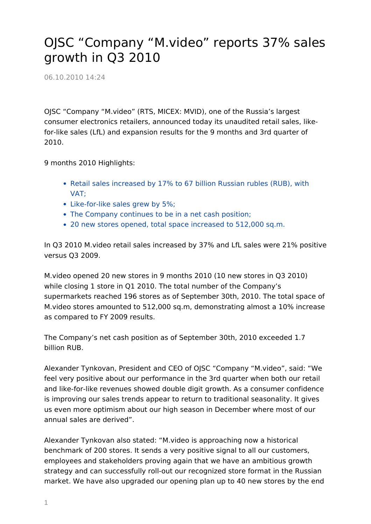## OJSC "Company "M.video" reports 37% sales growth in Q3 2010

06.10.2010 14:24

OJSC "Company "M.video" (RTS, MICEX: MVID), one of the Russia's largest consumer electronics retailers, announced today its unaudited retail sales, likefor-like sales (LfL) and expansion results for the 9 months and 3rd quarter of 2010.

9 months 2010 Highlights:

- Retail sales increased by 17% to 67 billion Russian rubles (RUB), with VAT;
- Like-for-like sales grew by 5%;
- The Company continues to be in a net cash position;
- 20 new stores opened, total space increased to 512,000 sq.m.

In Q3 2010 M.video retail sales increased by 37% and LfL sales were 21% positive versus Q3 2009.

M.video opened 20 new stores in 9 months 2010 (10 new stores in Q3 2010) while closing 1 store in Q1 2010. The total number of the Company's supermarkets reached 196 stores as of September 30th, 2010. The total space of M.video stores amounted to 512,000 sq.m, demonstrating almost a 10% increase as compared to FY 2009 results.

The Company's net cash position as of September 30th, 2010 exceeded 1.7 billion RUB.

Alexander Tynkovan, President and CEO of OJSC "Company "M.video", said: "We feel very positive about our performance in the 3rd quarter when both our retail and like-for-like revenues showed double digit growth. As a consumer confidence is improving our sales trends appear to return to traditional seasonality. It gives us even more optimism about our high season in December where most of our annual sales are derived".

Alexander Tynkovan also stated: "M.video is approaching now a historical benchmark of 200 stores. It sends a very positive signal to all our customers, employees and stakeholders proving again that we have an ambitious growth strategy and can successfully roll-out our recognized store format in the Russian market. We have also upgraded our opening plan up to 40 new stores by the end